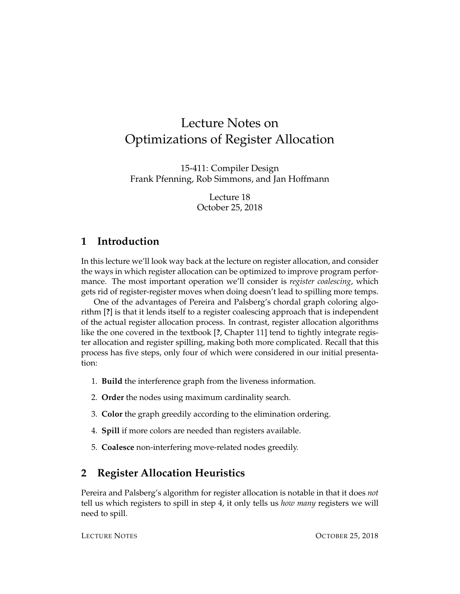# Lecture Notes on Optimizations of Register Allocation

15-411: Compiler Design Frank Pfenning, Rob Simmons, and Jan Hoffmann

> Lecture 18 October 25, 2018

## **1 Introduction**

In this lecture we'll look way back at the lecture on register allocation, and consider the ways in which register allocation can be optimized to improve program performance. The most important operation we'll consider is *register coalescing*, which gets rid of register-register moves when doing doesn't lead to spilling more temps.

One of the advantages of Pereira and Palsberg's chordal graph coloring algorithm [**?**] is that it lends itself to a register coalescing approach that is independent of the actual register allocation process. In contrast, register allocation algorithms like the one covered in the textbook [**?**, Chapter 11] tend to tightly integrate register allocation and register spilling, making both more complicated. Recall that this process has five steps, only four of which were considered in our initial presentation:

- 1. **Build** the interference graph from the liveness information.
- 2. **Order** the nodes using maximum cardinality search.
- 3. **Color** the graph greedily according to the elimination ordering.
- 4. **Spill** if more colors are needed than registers available.
- 5. **Coalesce** non-interfering move-related nodes greedily.

## **2 Register Allocation Heuristics**

Pereira and Palsberg's algorithm for register allocation is notable in that it does *not* tell us which registers to spill in step 4, it only tells us *how many* registers we will need to spill.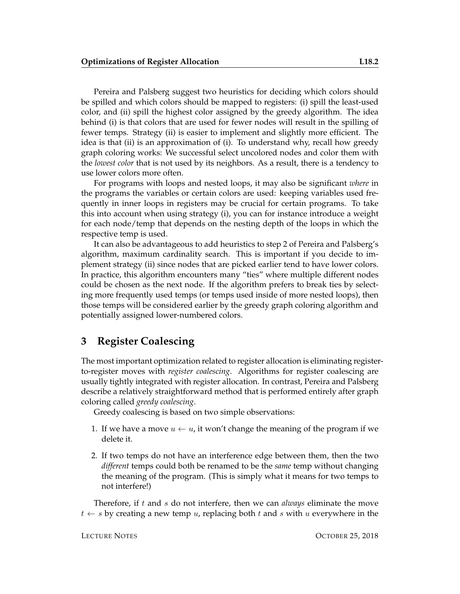Pereira and Palsberg suggest two heuristics for deciding which colors should be spilled and which colors should be mapped to registers: (i) spill the least-used color, and (ii) spill the highest color assigned by the greedy algorithm. The idea behind (i) is that colors that are used for fewer nodes will result in the spilling of fewer temps. Strategy (ii) is easier to implement and slightly more efficient. The idea is that (ii) is an approximation of (i). To understand why, recall how greedy graph coloring works: We successful select uncolored nodes and color them with the *lowest color* that is not used by its neighbors. As a result, there is a tendency to use lower colors more often.

For programs with loops and nested loops, it may also be significant *where* in the programs the variables or certain colors are used: keeping variables used frequently in inner loops in registers may be crucial for certain programs. To take this into account when using strategy (i), you can for instance introduce a weight for each node/temp that depends on the nesting depth of the loops in which the respective temp is used.

It can also be advantageous to add heuristics to step 2 of Pereira and Palsberg's algorithm, maximum cardinality search. This is important if you decide to implement strategy (ii) since nodes that are picked earlier tend to have lower colors. In practice, this algorithm encounters many "ties" where multiple different nodes could be chosen as the next node. If the algorithm prefers to break ties by selecting more frequently used temps (or temps used inside of more nested loops), then those temps will be considered earlier by the greedy graph coloring algorithm and potentially assigned lower-numbered colors.

### **3 Register Coalescing**

The most important optimization related to register allocation is eliminating registerto-register moves with *register coalescing*. Algorithms for register coalescing are usually tightly integrated with register allocation. In contrast, Pereira and Palsberg describe a relatively straightforward method that is performed entirely after graph coloring called *greedy coalescing*.

Greedy coalescing is based on two simple observations:

- 1. If we have a move  $u \leftarrow u$ , it won't change the meaning of the program if we delete it.
- 2. If two temps do not have an interference edge between them, then the two *different* temps could both be renamed to be the *same* temp without changing the meaning of the program. (This is simply what it means for two temps to not interfere!)

Therefore, if t and s do not interfere, then we can *always* eliminate the move  $t \leftarrow s$  by creating a new temp u, replacing both t and s with u everywhere in the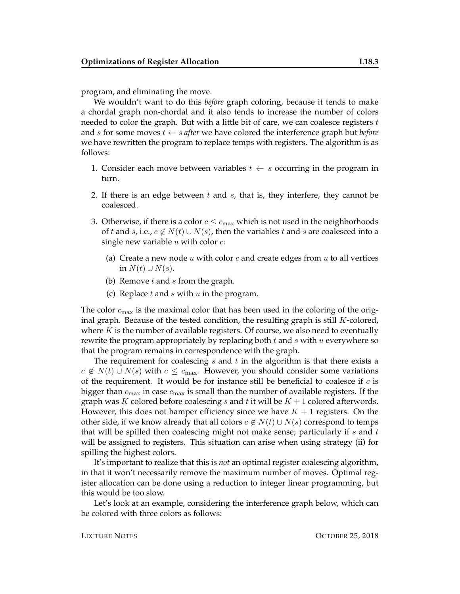program, and eliminating the move.

We wouldn't want to do this *before* graph coloring, because it tends to make a chordal graph non-chordal and it also tends to increase the number of colors needed to color the graph. But with a little bit of care, we can coalesce registers  $t$ and s for some moves t ← s *after* we have colored the interference graph but *before* we have rewritten the program to replace temps with registers. The algorithm is as follows:

- 1. Consider each move between variables  $t \leftarrow s$  occurring in the program in turn.
- 2. If there is an edge between  $t$  and  $s$ , that is, they interfere, they cannot be coalesced.
- 3. Otherwise, if there is a color  $c \leq c_{\text{max}}$  which is not used in the neighborhoods of t and s, i.e.,  $c \notin N(t) \cup N(s)$ , then the variables t and s are coalesced into a single new variable  $u$  with color  $c$ :
	- (a) Create a new node u with color c and create edges from u to all vertices in  $N(t) \cup N(s)$ .
	- (b) Remove  $t$  and  $s$  from the graph.
	- (c) Replace  $t$  and  $s$  with  $u$  in the program.

The color  $c_{\text{max}}$  is the maximal color that has been used in the coloring of the original graph. Because of the tested condition, the resulting graph is still  $K$ -colored, where  $K$  is the number of available registers. Of course, we also need to eventually rewrite the program appropriately by replacing both  $t$  and  $s$  with  $u$  everywhere so that the program remains in correspondence with the graph.

The requirement for coalescing  $s$  and  $t$  in the algorithm is that there exists a  $c \notin N(t) \cup N(s)$  with  $c \leq c_{\text{max}}$ . However, you should consider some variations of the requirement. It would be for instance still be beneficial to coalesce if  $c$  is bigger than  $c_{\text{max}}$  in case  $c_{\text{max}}$  is small than the number of available registers. If the graph was K colored before coalescing s and t it will be  $K + 1$  colored afterwords. However, this does not hamper efficiency since we have  $K + 1$  registers. On the other side, if we know already that all colors  $c \notin N(t) \cup N(s)$  correspond to temps that will be spilled then coalescing might not make sense; particularly if  $s$  and  $t$ will be assigned to registers. This situation can arise when using strategy (ii) for spilling the highest colors.

It's important to realize that this is *not* an optimal register coalescing algorithm, in that it won't necessarily remove the maximum number of moves. Optimal register allocation can be done using a reduction to integer linear programming, but this would be too slow.

Let's look at an example, considering the interference graph below, which can be colored with three colors as follows: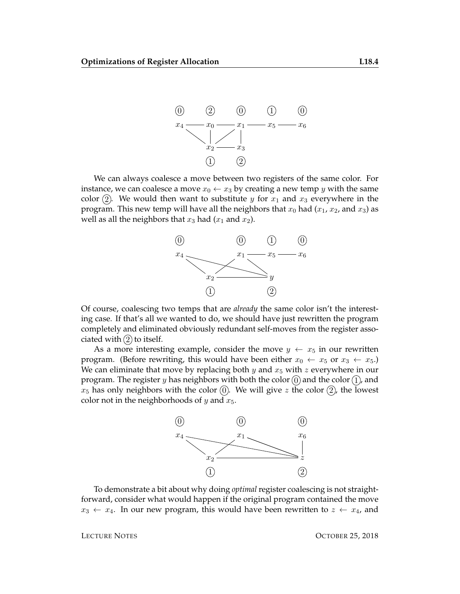

We can always coalesce a move between two registers of the same color. For instance, we can coalesce a move  $x_0 \leftarrow x_3$  by creating a new temp y with the same color (2). We would then want to substitute y for  $x_1$  and  $x_3$  everywhere in the program. This new temp will have all the neighbors that  $x_0$  had  $(x_1, x_2, x_3)$  as well as all the neighbors that  $x_3$  had  $(x_1$  and  $x_2$ ).



Of course, coalescing two temps that are *already* the same color isn't the interesting case. If that's all we wanted to do, we should have just rewritten the program completely and eliminated obviously redundant self-moves from the register associated with  $(2)$  to itself.

As a more interesting example, consider the move  $y \leftarrow x_5$  in our rewritten program. (Before rewriting, this would have been either  $x_0 \leftarrow x_5$  or  $x_3 \leftarrow x_5$ .) We can eliminate that move by replacing both y and  $x_5$  with z everywhere in our program. The register y has neighbors with both the color  $(0)$  and the color  $(1)$ , and  $x_5$  has only neighbors with the color  $(0)$ . We will give z the color  $(2)$ , the lowest color not in the neighborhoods of  $y$  and  $x_5$ .



To demonstrate a bit about why doing *optimal* register coalescing is not straightforward, consider what would happen if the original program contained the move  $x_3 \leftarrow x_4$ . In our new program, this would have been rewritten to  $z \leftarrow x_4$ , and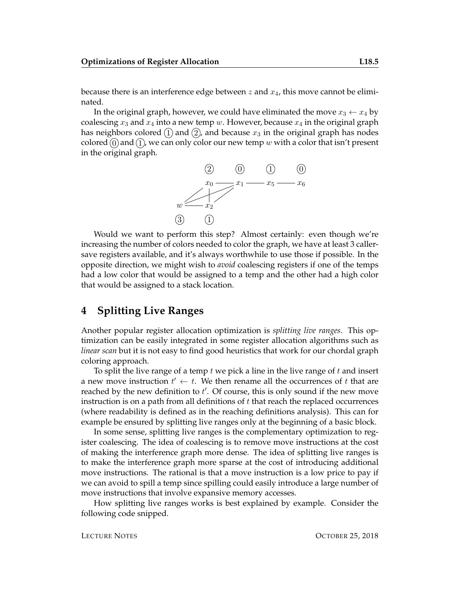because there is an interference edge between z and  $x_4$ , this move cannot be eliminated.

In the original graph, however, we could have eliminated the move  $x_3 \leftarrow x_4$  by coalescing  $x_3$  and  $x_4$  into a new temp w. However, because  $x_4$  in the original graph has neighbors colored  $(1)$  and  $(2)$ , and because  $x_3$  in the original graph has nodes colored  $(0)$  and  $(1)$ , we can only color our new temp w with a color that isn't present in the original graph.



Would we want to perform this step? Almost certainly: even though we're increasing the number of colors needed to color the graph, we have at least 3 callersave registers available, and it's always worthwhile to use those if possible. In the opposite direction, we might wish to *avoid* coalescing registers if one of the temps had a low color that would be assigned to a temp and the other had a high color that would be assigned to a stack location.

### **4 Splitting Live Ranges**

Another popular register allocation optimization is *splitting live ranges*. This optimization can be easily integrated in some register allocation algorithms such as *linear scan* but it is not easy to find good heuristics that work for our chordal graph coloring approach.

To split the live range of a temp  $t$  we pick a line in the live range of  $t$  and insert a new move instruction  $t' \leftarrow t$ . We then rename all the occurrences of t that are reached by the new definition to  $t'$ . Of course, this is only sound if the new move instruction is on a path from all definitions of  $t$  that reach the replaced occurrences (where readability is defined as in the reaching definitions analysis). This can for example be ensured by splitting live ranges only at the beginning of a basic block.

In some sense, splitting live ranges is the complementary optimization to register coalescing. The idea of coalescing is to remove move instructions at the cost of making the interference graph more dense. The idea of splitting live ranges is to make the interference graph more sparse at the cost of introducing additional move instructions. The rational is that a move instruction is a low price to pay if we can avoid to spill a temp since spilling could easily introduce a large number of move instructions that involve expansive memory accesses.

How splitting live ranges works is best explained by example. Consider the following code snipped.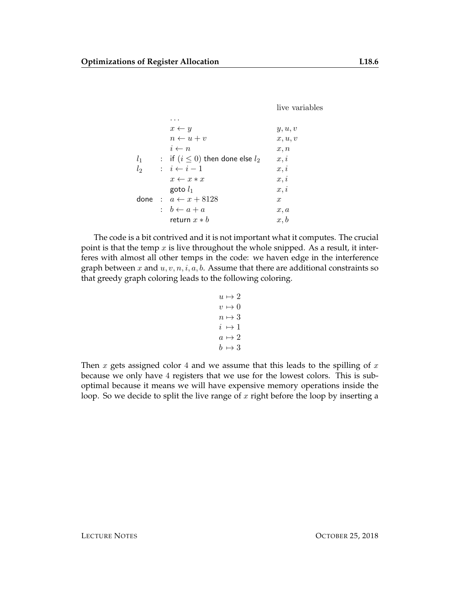live variables

|       | $x \leftarrow y$                       | y, u, v          |
|-------|----------------------------------------|------------------|
|       | $n \leftarrow u + v$                   | x, u, v          |
|       | $i \leftarrow n$                       | x, n             |
| $l_1$ | : if $(i \leq 0)$ then done else $l_2$ | x, i             |
| $l_2$ | $\therefore i \leftarrow i-1$          | x, i             |
|       | $x \leftarrow x * x$                   | x, i             |
|       | goto $l_1$                             | x, i             |
|       | done: $a \leftarrow x + 8128$          | $\boldsymbol{x}$ |
|       | : $b \leftarrow a + a$                 | x, a             |
|       | return $x * b$                         | x, b             |

The code is a bit contrived and it is not important what it computes. The crucial point is that the temp  $x$  is live throughout the whole snipped. As a result, it interferes with almost all other temps in the code: we haven edge in the interference graph between x and  $u, v, n, i, a, b$ . Assume that there are additional constraints so that greedy graph coloring leads to the following coloring.

```
u \mapsto 2v \mapsto 0n \mapsto 3i \mapsto 1a \mapsto 2b \mapsto 3
```
Then x gets assigned color 4 and we assume that this leads to the spilling of  $x$ because we only have 4 registers that we use for the lowest colors. This is suboptimal because it means we will have expensive memory operations inside the loop. So we decide to split the live range of  $x$  right before the loop by inserting a